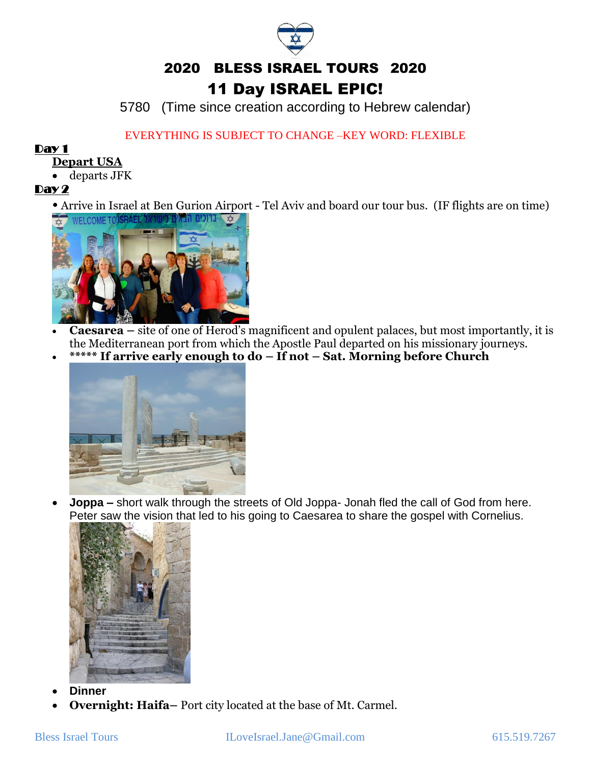5780 (Time since creation according to Hebrew calendar)

# EVERYTHING IS SUBJECT TO CHANGE –KEY WORD: FLEXIBLE

#### Day 1

#### **Depart USA**

• departs JFK

### Day 2

• Arrive in Israel at Ben Gurion Airport - Tel Aviv and board our tour bus. (IF flights are on time)



- **Caesarea –** site of one of Herod's magnificent and opulent palaces, but most importantly, it is the Mediterranean port from which the Apostle Paul departed on his missionary journeys.
- **\*\*\*\*\* If arrive early enough to do – If not – Sat. Morning before Church**



• **Joppa –** short walk through the streets of Old Joppa- Jonah fled the call of God from here. Peter saw the vision that led to his going to Caesarea to share the gospel with Cornelius.



- **Dinner**
- **Overnight: Haifa–** Port city located at the base of Mt. Carmel.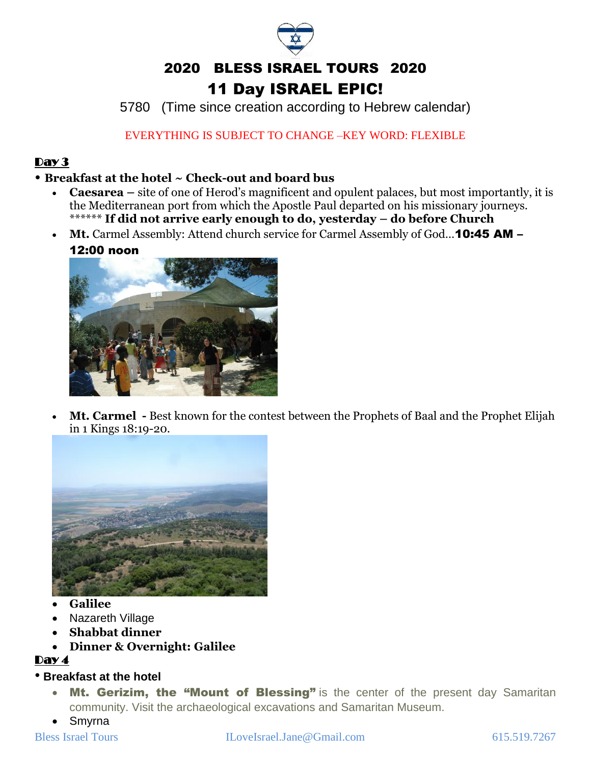5780 (Time since creation according to Hebrew calendar)

# EVERYTHING IS SUBJECT TO CHANGE –KEY WORD: FLEXIBLE

# Day 3

# • **Breakfast at the hotel ~ Check-out and board bus**

- **Caesarea –** site of one of Herod's magnificent and opulent palaces, but most importantly, it is the Mediterranean port from which the Apostle Paul departed on his missionary journeys. \*\*\*\*\*\* **If did not arrive early enough to do, yesterday – do before Church**
- **Mt.** Carmel Assembly: Attend church service for Carmel Assembly of God…10:45 AM –



• **Mt. Carmel -** Best known for the contest between the Prophets of Baal and the Prophet Elijah in 1 Kings 18:19-20.



- **Galilee**
- Nazareth Village
- **Shabbat dinner**
- **Dinner & Overnight: Galilee**

# Day 4

# • **Breakfast at the hotel**

- Mt. Gerizim, the "Mount of Blessing" is the center of the present day Samaritan community. Visit the archaeological excavations and Samaritan Museum.
- Smyrna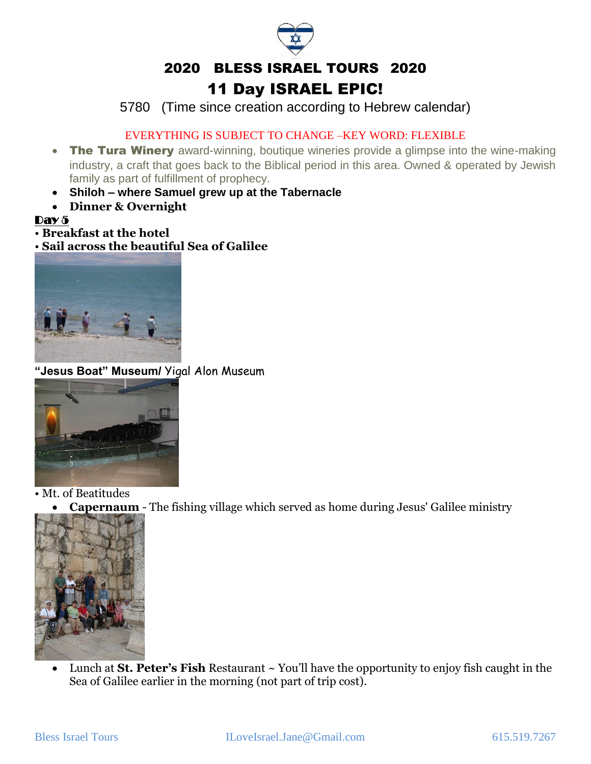5780 (Time since creation according to Hebrew calendar)

## EVERYTHING IS SUBJECT TO CHANGE –KEY WORD: FLEXIBLE

- The Tura Winery award-winning, boutique wineries provide a glimpse into the wine-making industry, a craft that goes back to the Biblical period in this area. Owned & operated by Jewish family as part of fulfillment of prophecy.
- **Shiloh – where Samuel grew up at the Tabernacle**
- **Dinner & Overnight**

#### $\mathbf{Dav5}$

• **Breakfast at the hotel**

• **Sail across the beautiful Sea of Galilee**



**"Jesus Boat" Museum/** Yigal Alon Museum



• Mt. of Beatitudes

• **Capernaum** - The fishing village which served as home during Jesus' Galilee ministry



• Lunch at **St. Peter's Fish** Restaurant ~ You'll have the opportunity to enjoy fish caught in the Sea of Galilee earlier in the morning (not part of trip cost).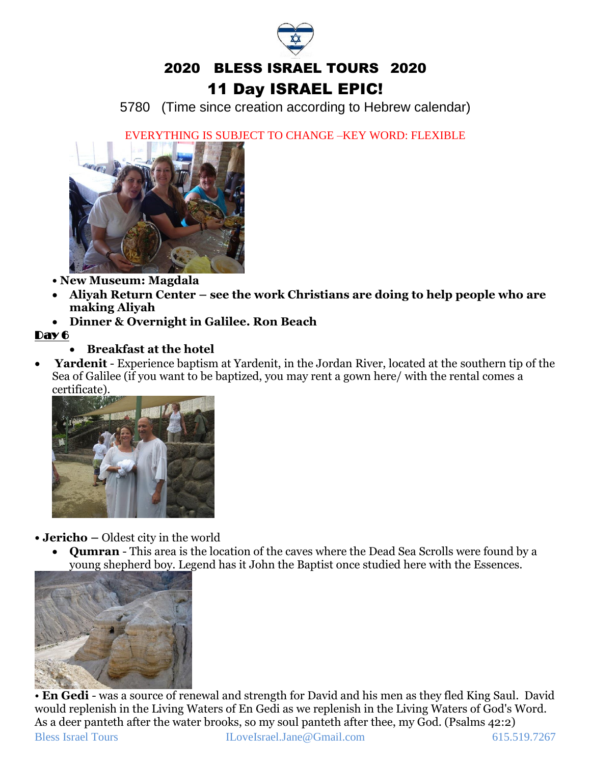

5780 (Time since creation according to Hebrew calendar)

EVERYTHING IS SUBJECT TO CHANGE –KEY WORD: FLEXIBLE



- **New Museum: Magdala**
- **Aliyah Return Center – see the work Christians are doing to help people who are making Aliyah**
- **Dinner & Overnight in Galilee. Ron Beach**

# Day 6

# • **Breakfast at the hotel**

• **Yardenit** - Experience baptism at Yardenit, in the Jordan River, located at the southern tip of the Sea of Galilee (if you want to be baptized, you may rent a gown here/ with the rental comes a certificate).



- **Jericho –** Oldest city in the world
	- **Qumran** This area is the location of the caves where the Dead Sea Scrolls were found by a young shepherd boy. Legend has it John the Baptist once studied here with the Essences.



Bless Israel Tours ILoveIsrael.Jane@Gmail.com 615.519.7267 • **En Gedi** - was a source of renewal and strength for David and his men as they fled King Saul. David would replenish in the Living Waters of En Gedi as we replenish in the Living Waters of God's Word. As a deer panteth after the water brooks, so my soul panteth after thee, my God. (Psalms 42:2)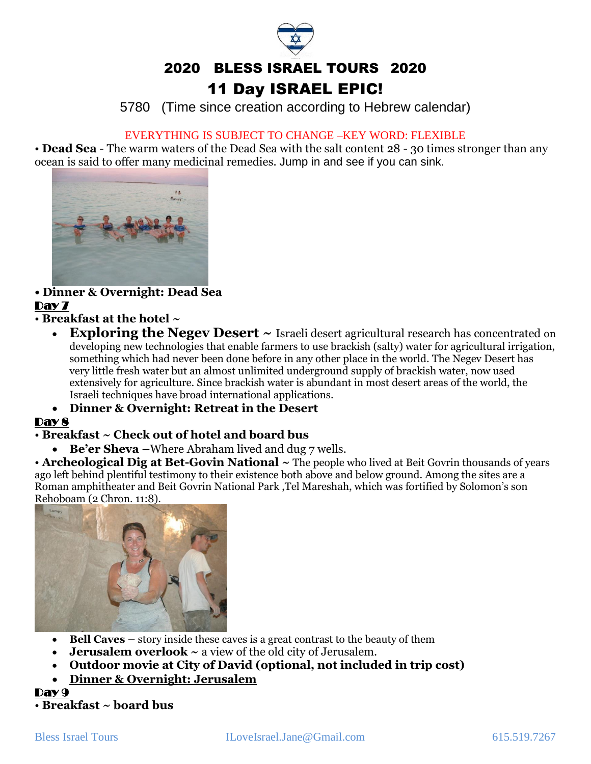5780 (Time since creation according to Hebrew calendar)

#### EVERYTHING IS SUBJECT TO CHANGE –KEY WORD: FLEXIBLE

• **Dead Sea** - The warm waters of the Dead Sea with the salt content 28 - 30 times stronger than any ocean is said to offer many medicinal remedies. Jump in and see if you can sink.



#### **• Dinner & Overnight: Dead Sea** Dav 7

• **Breakfast at the hotel ~** 

**Exploring the Negev Desert**  $\sim$  Israeli desert agricultural research has concentrated on developing new technologies that enable farmers to use brackish (salty) water for agricultural irrigation, something which had never been done before in any other place in the world. The Negev Desert has very little fresh water but an almost unlimited underground supply of brackish water, now used extensively for agriculture. Since brackish water is abundant in most desert areas of the world, the Israeli techniques have broad international applications.

# • **Dinner & Overnight: Retreat in the Desert**

# Day 8

# • **Breakfast ~ Check out of hotel and board bus**

• **Be'er Sheva –**Where Abraham lived and dug 7 wells.

• **Archeological Dig at Bet-Govin National** ~ The people who lived at Beit Govrin thousands of years ago left behind plentiful testimony to their existence both above and below ground. Among the sites are a Roman amphitheater and Beit Govrin [National Park](http://www.goisrael.com/Tourism_Eng/Articles/Attractions/Pages/National%20Parks%20and%20Nature%20Reserves.aspx) ,Tel Mareshah, which was fortified by Solomon's son Rehoboam (2 Chron. 11:8).



- **Bell Caves –** story inside these caves is a great contrast to the beauty of them
- **Jerusalem overlook ~** a view of the old city of Jerusalem.
- **Outdoor movie at City of David (optional, not included in trip cost)**
- **Dinner & Overnight: Jerusalem**

#### Day 9 • **Breakfast ~ board bus**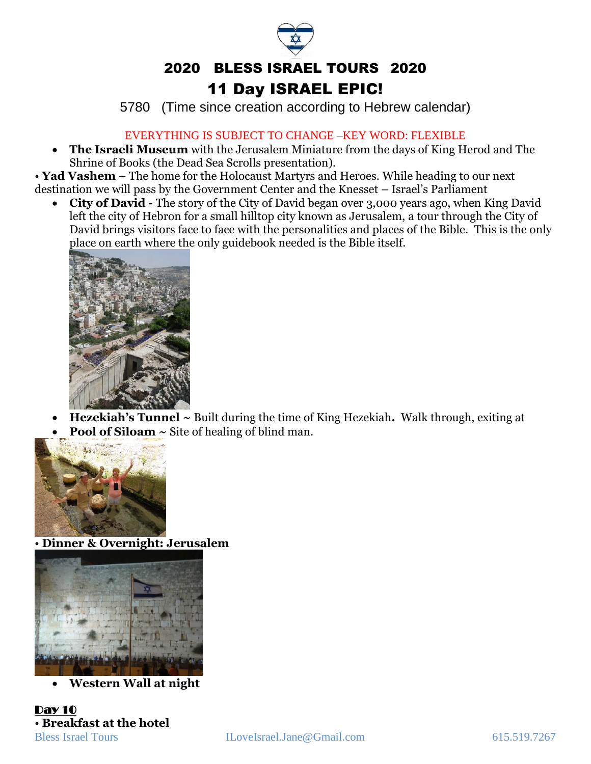5780 (Time since creation according to Hebrew calendar)

## EVERYTHING IS SUBJECT TO CHANGE –KEY WORD: FLEXIBLE

• **The Israeli Museum** with the Jerusalem Miniature from the days of King Herod and The Shrine of Books (the Dead Sea Scrolls presentation).

• **Yad Vashem** – The home for the Holocaust Martyrs and Heroes. While heading to our next destination we will pass by the Government Center and the Knesset – Israel's Parliament

• **City of David -** The story of the City of David began over 3,000 years ago, when King David left the city of Hebron for a small hilltop city known as Jerusalem, a tour through the City of David brings visitors face to face with the personalities and places of the Bible. This is the only place on earth where the only guidebook needed is the Bible itself.



• **Hezekiah's Tunnel ~** Built during the time of King Hezekiah**.** Walk through, exiting at • **Pool of Siloam ~** Site of healing of blind man.



• **Dinner & Overnight: Jerusalem**



• **Western Wall at night**

Day 10 • **Breakfast at the hotel**